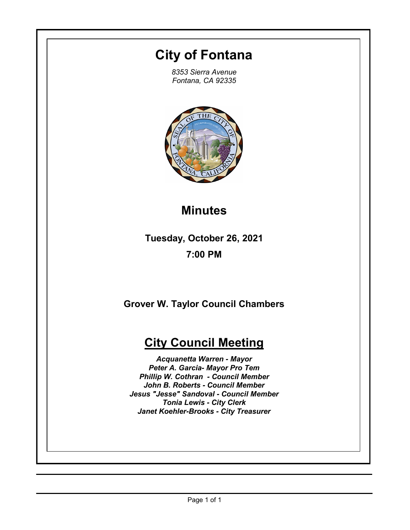## **City of Fontana**

*8353 Sierra Avenue Fontana, CA 92335*



# **Minutes**

**Tuesday, October 26, 2021 7:00 PM**

**Grover W. Taylor Council Chambers**

## **City Council Meeting**

*Acquanetta Warren - Mayor Peter A. Garcia- Mayor Pro Tem Phillip W. Cothran - Council Member John B. Roberts - Council Member Jesus "Jesse" Sandoval - Council Member Tonia Lewis - City Clerk Janet Koehler-Brooks - City Treasurer*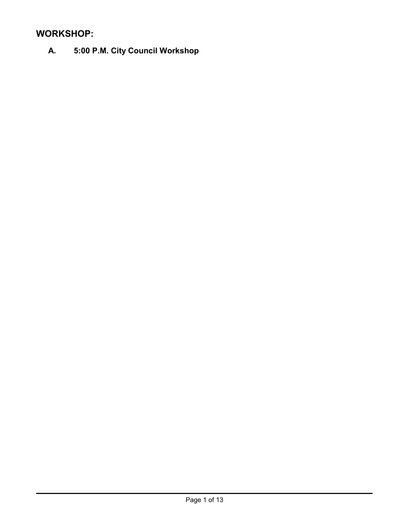## **WORKSHOP:**

**A. 5:00 P.M. City Council Workshop**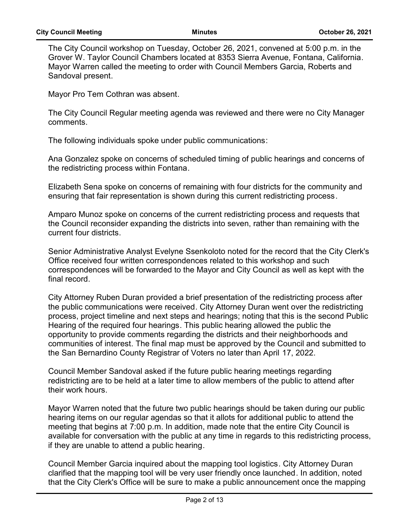The City Council workshop on Tuesday, October 26, 2021, convened at 5:00 p.m. in the Grover W. Taylor Council Chambers located at 8353 Sierra Avenue, Fontana, California. Mayor Warren called the meeting to order with Council Members Garcia, Roberts and Sandoval present.

Mayor Pro Tem Cothran was absent.

The City Council Regular meeting agenda was reviewed and there were no City Manager comments.

The following individuals spoke under public communications:

Ana Gonzalez spoke on concerns of scheduled timing of public hearings and concerns of the redistricting process within Fontana.

Elizabeth Sena spoke on concerns of remaining with four districts for the community and ensuring that fair representation is shown during this current redistricting process.

Amparo Munoz spoke on concerns of the current redistricting process and requests that the Council reconsider expanding the districts into seven, rather than remaining with the current four districts.

Senior Administrative Analyst Evelyne Ssenkoloto noted for the record that the City Clerk's Office received four written correspondences related to this workshop and such correspondences will be forwarded to the Mayor and City Council as well as kept with the final record.

City Attorney Ruben Duran provided a brief presentation of the redistricting process after the public communications were received. City Attorney Duran went over the redistricting process, project timeline and next steps and hearings; noting that this is the second Public Hearing of the required four hearings. This public hearing allowed the public the opportunity to provide comments regarding the districts and their neighborhoods and communities of interest. The final map must be approved by the Council and submitted to the San Bernardino County Registrar of Voters no later than April 17, 2022.

Council Member Sandoval asked if the future public hearing meetings regarding redistricting are to be held at a later time to allow members of the public to attend after their work hours.

Mayor Warren noted that the future two public hearings should be taken during our public hearing items on our regular agendas so that it allots for additional public to attend the meeting that begins at 7:00 p.m. In addition, made note that the entire City Council is available for conversation with the public at any time in regards to this redistricting process, if they are unable to attend a public hearing.

Council Member Garcia inquired about the mapping tool logistics. City Attorney Duran clarified that the mapping tool will be very user friendly once launched. In addition, noted that the City Clerk's Office will be sure to make a public announcement once the mapping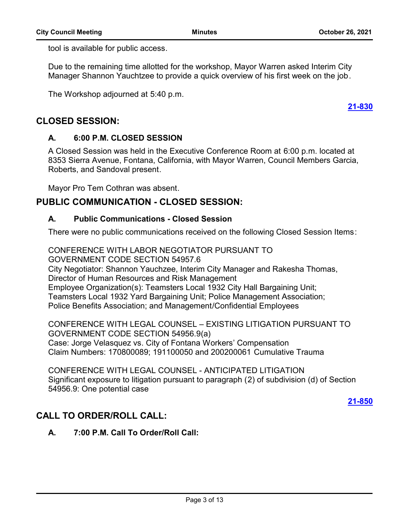**[21-830](http://fontana.legistar.com/gateway.aspx?m=l&id=/matter.aspx?key=1915)**

tool is available for public access.

Due to the remaining time allotted for the workshop, Mayor Warren asked Interim City Manager Shannon Yauchtzee to provide a quick overview of his first week on the job.

The Workshop adjourned at 5:40 p.m.

## **CLOSED SESSION:**

#### **A. 6:00 P.M. CLOSED SESSION**

A Closed Session was held in the Executive Conference Room at 6:00 p.m. located at 8353 Sierra Avenue, Fontana, California, with Mayor Warren, Council Members Garcia, Roberts, and Sandoval present.

Mayor Pro Tem Cothran was absent.

## **PUBLIC COMMUNICATION - CLOSED SESSION:**

#### **A. Public Communications - Closed Session**

There were no public communications received on the following Closed Session Items:

CONFERENCE WITH LABOR NEGOTIATOR PURSUANT TO GOVERNMENT CODE SECTION 54957.6 City Negotiator: Shannon Yauchzee, Interim City Manager and Rakesha Thomas, Director of Human Resources and Risk Management Employee Organization(s): Teamsters Local 1932 City Hall Bargaining Unit; Teamsters Local 1932 Yard Bargaining Unit; Police Management Association; Police Benefits Association; and Management/Confidential Employees

CONFERENCE WITH LEGAL COUNSEL – EXISTING LITIGATION PURSUANT TO GOVERNMENT CODE SECTION 54956.9(a) Case: Jorge Velasquez vs. City of Fontana Workers' Compensation Claim Numbers: 170800089; 191100050 and 200200061 Cumulative Trauma

CONFERENCE WITH LEGAL COUNSEL - ANTICIPATED LITIGATION Significant exposure to litigation pursuant to paragraph (2) of subdivision (d) of Section 54956.9: One potential case

**[21-850](http://fontana.legistar.com/gateway.aspx?m=l&id=/matter.aspx?key=1935)**

## **CALL TO ORDER/ROLL CALL:**

**A. 7:00 P.M. Call To Order/Roll Call:**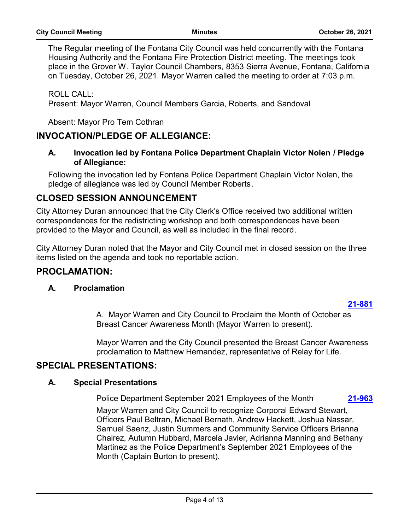The Regular meeting of the Fontana City Council was held concurrently with the Fontana Housing Authority and the Fontana Fire Protection District meeting. The meetings took place in the Grover W. Taylor Council Chambers, 8353 Sierra Avenue, Fontana, California on Tuesday, October 26, 2021. Mayor Warren called the meeting to order at 7:03 p.m.

ROLL CALL: Present: Mayor Warren, Council Members Garcia, Roberts, and Sandoval

Absent: Mayor Pro Tem Cothran

## **INVOCATION/PLEDGE OF ALLEGIANCE:**

#### **A. Invocation led by Fontana Police Department Chaplain Victor Nolen / Pledge of Allegiance:**

Following the invocation led by Fontana Police Department Chaplain Victor Nolen, the pledge of allegiance was led by Council Member Roberts.

## **CLOSED SESSION ANNOUNCEMENT**

City Attorney Duran announced that the City Clerk's Office received two additional written correspondences for the redistricting workshop and both correspondences have been provided to the Mayor and Council, as well as included in the final record.

City Attorney Duran noted that the Mayor and City Council met in closed session on the three items listed on the agenda and took no reportable action.

#### **PROCLAMATION:**

#### **A. Proclamation**

#### **[21-881](http://fontana.legistar.com/gateway.aspx?m=l&id=/matter.aspx?key=1966)**

A. Mayor Warren and City Council to Proclaim the Month of October as Breast Cancer Awareness Month (Mayor Warren to present).

Mayor Warren and the City Council presented the Breast Cancer Awareness proclamation to Matthew Hernandez, representative of Relay for Life.

## **SPECIAL PRESENTATIONS:**

#### **A. Special Presentations**

Police Department September 2021 Employees of the Month **[21-963](http://fontana.legistar.com/gateway.aspx?m=l&id=/matter.aspx?key=2048)**

Mayor Warren and City Council to recognize Corporal Edward Stewart, Officers Paul Beltran, Michael Bernath, Andrew Hackett, Joshua Nassar, Samuel Saenz, Justin Summers and Community Service Officers Brianna Chairez, Autumn Hubbard, Marcela Javier, Adrianna Manning and Bethany Martinez as the Police Department's September 2021 Employees of the Month (Captain Burton to present).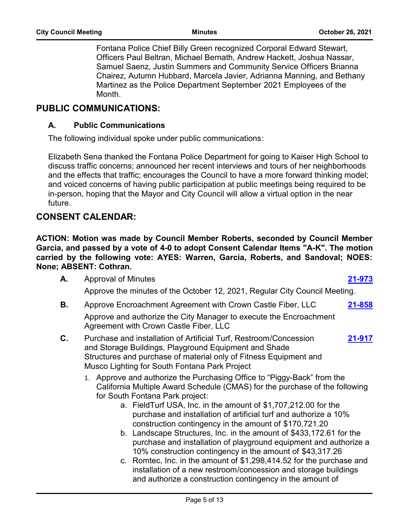Fontana Police Chief Billy Green recognized Corporal Edward Stewart, Officers Paul Beltran, Michael Bernath, Andrew Hackett, Joshua Nassar, Samuel Saenz, Justin Summers and Community Service Officers Brianna Chairez, Autumn Hubbard, Marcela Javier, Adrianna Manning, and Bethany Martinez as the Police Department September 2021 Employees of the Month.

### **PUBLIC COMMUNICATIONS:**

#### **A. Public Communications**

The following individual spoke under public communications:

Elizabeth Sena thanked the Fontana Police Department for going to Kaiser High School to discuss traffic concerns; announced her recent interviews and tours of her neighborhoods and the effects that traffic; encourages the Council to have a more forward thinking model; and voiced concerns of having public participation at public meetings being required to be in-person, hoping that the Mayor and City Council will allow a virtual option in the near future.

## **CONSENT CALENDAR:**

**ACTION: Motion was made by Council Member Roberts, seconded by Council Member Garcia, and passed by a vote of 4-0 to adopt Consent Calendar Items "A-K". The motion carried by the following vote: AYES: Warren, Garcia, Roberts, and Sandoval; NOES: None; ABSENT: Cothran.**

- **A.** Approval of Minutes **[21-973](http://fontana.legistar.com/gateway.aspx?m=l&id=/matter.aspx?key=2058)**
	- Approve the minutes of the October 12, 2021, Regular City Council Meeting.
- **B.** Approve Encroachment Agreement with Crown Castle Fiber, LLC **[21-858](http://fontana.legistar.com/gateway.aspx?m=l&id=/matter.aspx?key=1943)** Approve and authorize the City Manager to execute the Encroachment Agreement with Crown Castle Fiber, LLC
- **C.** Purchase and installation of Artificial Turf, Restroom/Concession and Storage Buildings, Playground Equipment and Shade Structures and purchase of material only of Fitness Equipment and Musco Lighting for South Fontana Park Project **[21-917](http://fontana.legistar.com/gateway.aspx?m=l&id=/matter.aspx?key=2002)**
	- 1. Approve and authorize the Purchasing Office to "Piggy-Back" from the California Multiple Award Schedule (CMAS) for the purchase of the following for South Fontana Park project:
		- a. FieldTurf USA, Inc. in the amount of \$1,707,212.00 for the purchase and installation of artificial turf and authorize a 10% construction contingency in the amount of \$170,721.20
		- b. Landscape Structures, Inc. in the amount of \$433,172.61 for the purchase and installation of playground equipment and authorize a 10% construction contingency in the amount of \$43,317.26
		- c. Romtec, Inc. in the amount of \$1,298,414.52 for the purchase and installation of a new restroom/concession and storage buildings and authorize a construction contingency in the amount of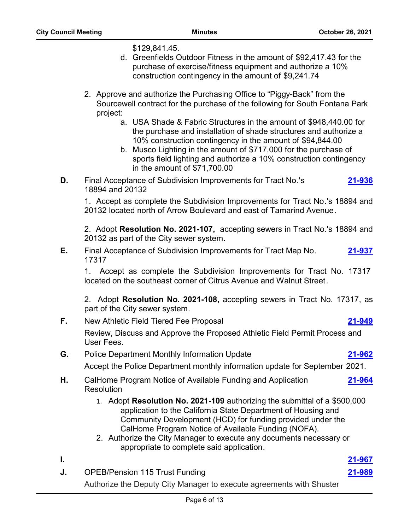\$129,841.45.

- d. Greenfields Outdoor Fitness in the amount of \$92,417.43 for the purchase of exercise/fitness equipment and authorize a 10% construction contingency in the amount of \$9,241.74
- 2. Approve and authorize the Purchasing Office to "Piggy-Back" from the Sourcewell contract for the purchase of the following for South Fontana Park project:
	- a. USA Shade & Fabric Structures in the amount of \$948,440.00 for the purchase and installation of shade structures and authorize a 10% construction contingency in the amount of \$94,844.00
	- b. Musco Lighting in the amount of \$717,000 for the purchase of sports field lighting and authorize a 10% construction contingency in the amount of \$71,700.00
- **D.** Final Acceptance of Subdivision Improvements for Tract No.'s 18894 and 20132 **[21-936](http://fontana.legistar.com/gateway.aspx?m=l&id=/matter.aspx?key=2021)**

1. Accept as complete the Subdivision Improvements for Tract No.'s 18894 and 20132 located north of Arrow Boulevard and east of Tamarind Avenue.

2. Adopt **Resolution No. 2021-107,** accepting sewers in Tract No.'s 18894 and 20132 as part of the City sewer system.

**E.** Final Acceptance of Subdivision Improvements for Tract Map No. 17317 **[21-937](http://fontana.legistar.com/gateway.aspx?m=l&id=/matter.aspx?key=2022)**

1. Accept as complete the Subdivision Improvements for Tract No. 17317 located on the southeast corner of Citrus Avenue and Walnut Street.

2. Adopt **Resolution No. 2021-108,** accepting sewers in Tract No. 17317, as part of the City sewer system.

**F.** New Athletic Field Tiered Fee Proposal **[21-949](http://fontana.legistar.com/gateway.aspx?m=l&id=/matter.aspx?key=2034)**

Review, Discuss and Approve the Proposed Athletic Field Permit Process and User Fees.

- **G.** Police Department Monthly Information Update **[21-962](http://fontana.legistar.com/gateway.aspx?m=l&id=/matter.aspx?key=2047)** Accept the Police Department monthly information update for September 2021.
- **H.** CalHome Program Notice of Available Funding and Application **Resolution [21-964](http://fontana.legistar.com/gateway.aspx?m=l&id=/matter.aspx?key=2049)**
	- 1. Adopt **Resolution No. 2021-109** authorizing the submittal of a \$500,000 application to the California State Department of Housing and Community Development (HCD) for funding provided under the CalHome Program Notice of Available Funding (NOFA).
	- 2. Authorize the City Manager to execute any documents necessary or appropriate to complete said application.
- **I. [21-967](http://fontana.legistar.com/gateway.aspx?m=l&id=/matter.aspx?key=2052)**
- **J.** OPEB/Pension 115 Trust Funding **[21-989](http://fontana.legistar.com/gateway.aspx?m=l&id=/matter.aspx?key=2074)** Authorize the Deputy City Manager to execute agreements with Shuster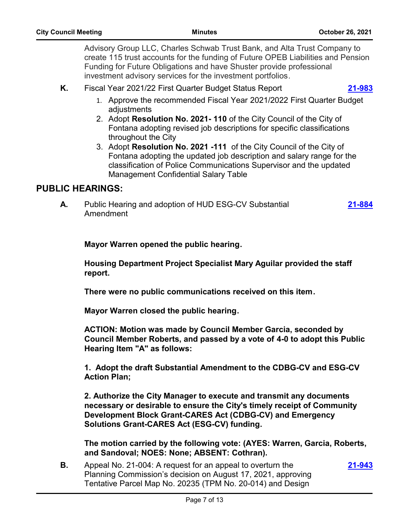Advisory Group LLC, Charles Schwab Trust Bank, and Alta Trust Company to create 115 trust accounts for the funding of Future OPEB Liabilities and Pension Funding for Future Obligations and have Shuster provide professional investment advisory services for the investment portfolios.

**K.** Fiscal Year 2021/22 First Quarter Budget Status Report **[21-983](http://fontana.legistar.com/gateway.aspx?m=l&id=/matter.aspx?key=2068)**

- 1. Approve the recommended Fiscal Year 2021/2022 First Quarter Budget adjustments
- 2. Adopt **Resolution No. 2021- 110** of the City Council of the City of Fontana adopting revised job descriptions for specific classifications throughout the City
- 3. Adopt **Resolution No. 2021 -111** of the City Council of the City of Fontana adopting the updated job description and salary range for the classification of Police Communications Supervisor and the updated Management Confidential Salary Table

## **PUBLIC HEARINGS:**

**A.** Public Hearing and adoption of HUD ESG-CV Substantial Amendment **[21-884](http://fontana.legistar.com/gateway.aspx?m=l&id=/matter.aspx?key=1969)**

**Mayor Warren opened the public hearing.** 

**Housing Department Project Specialist Mary Aguilar provided the staff report.** 

**There were no public communications received on this item.** 

**Mayor Warren closed the public hearing.** 

**ACTION: Motion was made by Council Member Garcia, seconded by Council Member Roberts, and passed by a vote of 4-0 to adopt this Public Hearing Item "A" as follows:** 

**1. Adopt the draft Substantial Amendment to the CDBG-CV and ESG-CV Action Plan;**

**2. Authorize the City Manager to execute and transmit any documents necessary or desirable to ensure the City's timely receipt of Community Development Block Grant-CARES Act (CDBG-CV) and Emergency Solutions Grant-CARES Act (ESG-CV) funding.**

**The motion carried by the following vote: (AYES: Warren, Garcia, Roberts, and Sandoval; NOES: None; ABSENT: Cothran).**

**B.** Appeal No. 21-004: A request for an appeal to overturn the Planning Commission's decision on August 17, 2021, approving Tentative Parcel Map No. 20235 (TPM No. 20-014) and Design

**[21-943](http://fontana.legistar.com/gateway.aspx?m=l&id=/matter.aspx?key=2028)**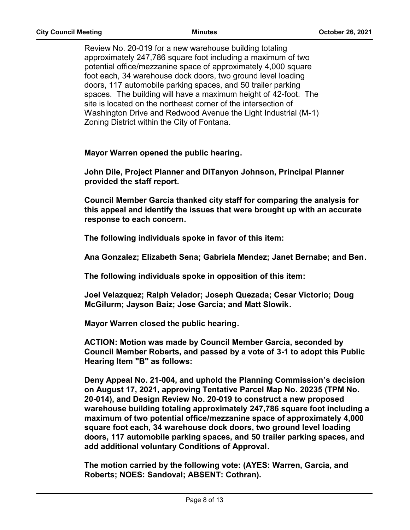Review No. 20-019 for a new warehouse building totaling approximately 247,786 square foot including a maximum of two potential office/mezzanine space of approximately 4,000 square foot each, 34 warehouse dock doors, two ground level loading doors, 117 automobile parking spaces, and 50 trailer parking spaces. The building will have a maximum height of 42-foot. The site is located on the northeast corner of the intersection of Washington Drive and Redwood Avenue the Light Industrial (M-1) Zoning District within the City of Fontana.

**Mayor Warren opened the public hearing.** 

**John Dile, Project Planner and DiTanyon Johnson, Principal Planner provided the staff report.** 

**Council Member Garcia thanked city staff for comparing the analysis for this appeal and identify the issues that were brought up with an accurate response to each concern.** 

**The following individuals spoke in favor of this item:** 

**Ana Gonzalez; Elizabeth Sena; Gabriela Mendez; Janet Bernabe; and Ben.** 

**The following individuals spoke in opposition of this item:** 

**Joel Velazquez; Ralph Velador; Joseph Quezada; Cesar Victorio; Doug McGilurm; Jayson Baiz; Jose Garcia; and Matt Slowik.**

**Mayor Warren closed the public hearing.** 

**ACTION: Motion was made by Council Member Garcia, seconded by Council Member Roberts, and passed by a vote of 3-1 to adopt this Public Hearing Item "B" as follows:** 

**Deny Appeal No. 21-004, and uphold the Planning Commission's decision on August 17, 2021, approving Tentative Parcel Map No. 20235 (TPM No. 20-014), and Design Review No. 20-019 to construct a new proposed warehouse building totaling approximately 247,786 square foot including a maximum of two potential office/mezzanine space of approximately 4,000 square foot each, 34 warehouse dock doors, two ground level loading doors, 117 automobile parking spaces, and 50 trailer parking spaces, and add additional voluntary Conditions of Approval.**

**The motion carried by the following vote: (AYES: Warren, Garcia, and Roberts; NOES: Sandoval; ABSENT: Cothran).**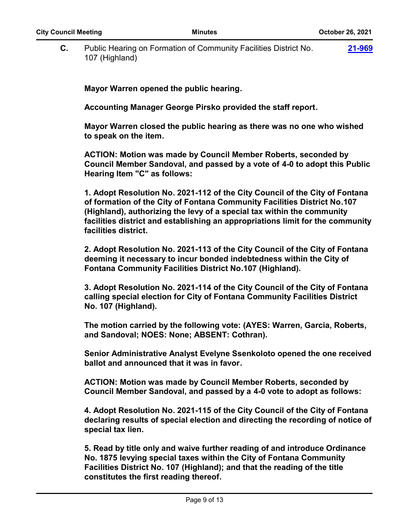**C.** Public Hearing on Formation of Community Facilities District No. 107 (Highland) **[21-969](http://fontana.legistar.com/gateway.aspx?m=l&id=/matter.aspx?key=2054)**

**Mayor Warren opened the public hearing.** 

**Accounting Manager George Pirsko provided the staff report.** 

**Mayor Warren closed the public hearing as there was no one who wished to speak on the item.** 

**ACTION: Motion was made by Council Member Roberts, seconded by Council Member Sandoval, and passed by a vote of 4-0 to adopt this Public Hearing Item "C" as follows:** 

**1. Adopt Resolution No. 2021-112 of the City Council of the City of Fontana of formation of the City of Fontana Community Facilities District No.107 (Highland), authorizing the levy of a special tax within the community facilities district and establishing an appropriations limit for the community facilities district.** 

**2. Adopt Resolution No. 2021-113 of the City Council of the City of Fontana deeming it necessary to incur bonded indebtedness within the City of Fontana Community Facilities District No.107 (Highland).** 

**3. Adopt Resolution No. 2021-114 of the City Council of the City of Fontana calling special election for City of Fontana Community Facilities District No. 107 (Highland).** 

**The motion carried by the following vote: (AYES: Warren, Garcia, Roberts, and Sandoval; NOES: None; ABSENT: Cothran).** 

**Senior Administrative Analyst Evelyne Ssenkoloto opened the one received ballot and announced that it was in favor.** 

**ACTION: Motion was made by Council Member Roberts, seconded by Council Member Sandoval, and passed by a 4-0 vote to adopt as follows:** 

**4. Adopt Resolution No. 2021-115 of the City Council of the City of Fontana declaring results of special election and directing the recording of notice of special tax lien.** 

**5. Read by title only and waive further reading of and introduce Ordinance No. 1875 levying special taxes within the City of Fontana Community Facilities District No. 107 (Highland); and that the reading of the title constitutes the first reading thereof.**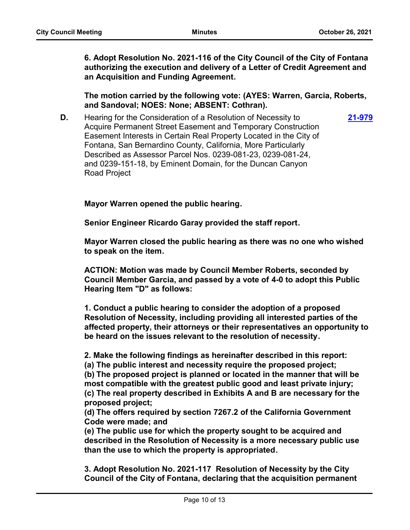**[21-979](http://fontana.legistar.com/gateway.aspx?m=l&id=/matter.aspx?key=2064)**

**6. Adopt Resolution No. 2021-116 of the City Council of the City of Fontana authorizing the execution and delivery of a Letter of Credit Agreement and an Acquisition and Funding Agreement.**

**The motion carried by the following vote: (AYES: Warren, Garcia, Roberts, and Sandoval; NOES: None; ABSENT: Cothran).**

**D.** Hearing for the Consideration of a Resolution of Necessity to Acquire Permanent Street Easement and Temporary Construction Easement Interests in Certain Real Property Located in the City of Fontana, San Bernardino County, California, More Particularly Described as Assessor Parcel Nos. 0239-081-23, 0239-081-24, and 0239-151-18, by Eminent Domain, for the Duncan Canyon Road Project

**Mayor Warren opened the public hearing.** 

**Senior Engineer Ricardo Garay provided the staff report.** 

**Mayor Warren closed the public hearing as there was no one who wished to speak on the item.** 

**ACTION: Motion was made by Council Member Roberts, seconded by Council Member Garcia, and passed by a vote of 4-0 to adopt this Public Hearing Item "D" as follows:**

**1. Conduct a public hearing to consider the adoption of a proposed Resolution of Necessity, including providing all interested parties of the affected property, their attorneys or their representatives an opportunity to be heard on the issues relevant to the resolution of necessity.**

**2. Make the following findings as hereinafter described in this report:**

**(a) The public interest and necessity require the proposed project;**

**(b) The proposed project is planned or located in the manner that will be most compatible with the greatest public good and least private injury; (c) The real property described in Exhibits A and B are necessary for the proposed project;**

**(d) The offers required by section 7267.2 of the California Government Code were made; and**

**(e) The public use for which the property sought to be acquired and described in the Resolution of Necessity is a more necessary public use than the use to which the property is appropriated.**

**3. Adopt Resolution No. 2021-117 Resolution of Necessity by the City Council of the City of Fontana, declaring that the acquisition permanent**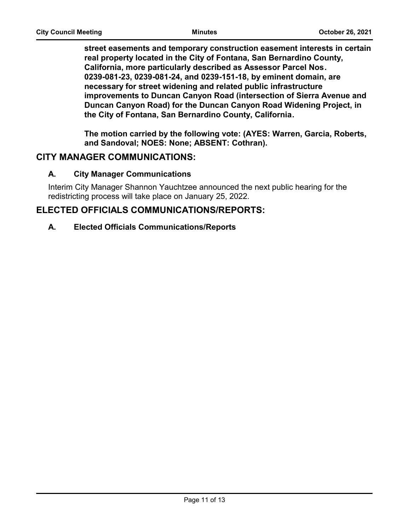**street easements and temporary construction easement interests in certain real property located in the City of Fontana, San Bernardino County, California, more particularly described as Assessor Parcel Nos. 0239-081-23, 0239-081-24, and 0239-151-18, by eminent domain, are necessary for street widening and related public infrastructure improvements to Duncan Canyon Road (intersection of Sierra Avenue and Duncan Canyon Road) for the Duncan Canyon Road Widening Project, in the City of Fontana, San Bernardino County, California.**

**The motion carried by the following vote: (AYES: Warren, Garcia, Roberts, and Sandoval; NOES: None; ABSENT: Cothran).**

## **CITY MANAGER COMMUNICATIONS:**

#### **A. City Manager Communications**

Interim City Manager Shannon Yauchtzee announced the next public hearing for the redistricting process will take place on January 25, 2022.

## **ELECTED OFFICIALS COMMUNICATIONS/REPORTS:**

#### **A. Elected Officials Communications/Reports**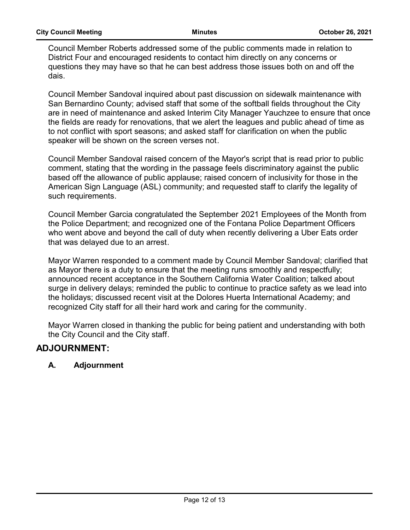Council Member Roberts addressed some of the public comments made in relation to District Four and encouraged residents to contact him directly on any concerns or questions they may have so that he can best address those issues both on and off the dais.

Council Member Sandoval inquired about past discussion on sidewalk maintenance with San Bernardino County; advised staff that some of the softball fields throughout the City are in need of maintenance and asked Interim City Manager Yauchzee to ensure that once the fields are ready for renovations, that we alert the leagues and public ahead of time as to not conflict with sport seasons; and asked staff for clarification on when the public speaker will be shown on the screen verses not.

Council Member Sandoval raised concern of the Mayor's script that is read prior to public comment, stating that the wording in the passage feels discriminatory against the public based off the allowance of public applause; raised concern of inclusivity for those in the American Sign Language (ASL) community; and requested staff to clarify the legality of such requirements.

Council Member Garcia congratulated the September 2021 Employees of the Month from the Police Department; and recognized one of the Fontana Police Department Officers who went above and beyond the call of duty when recently delivering a Uber Eats order that was delayed due to an arrest.

Mayor Warren responded to a comment made by Council Member Sandoval; clarified that as Mayor there is a duty to ensure that the meeting runs smoothly and respectfully; announced recent acceptance in the Southern California Water Coalition; talked about surge in delivery delays; reminded the public to continue to practice safety as we lead into the holidays; discussed recent visit at the Dolores Huerta International Academy; and recognized City staff for all their hard work and caring for the community.

Mayor Warren closed in thanking the public for being patient and understanding with both the City Council and the City staff.

## **ADJOURNMENT:**

#### **A. Adjournment**